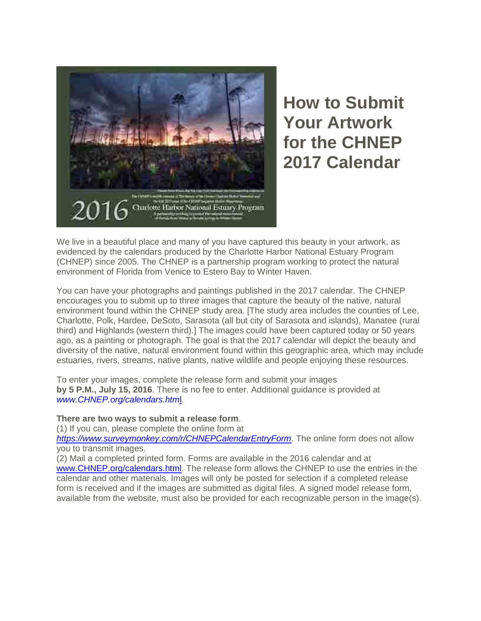

**How to Submit Your Artwork for the CHNEP 2017 Calendar**

We live in a beautiful place and many of you have captured this beauty in your artwork, as evidenced by the calendars produced by the Charlotte Harbor National Estuary Program (CHNEP) since 2005. The CHNEP is a partnership program working to protect the natural environment of Florida from Venice to Estero Bay to Winter Haven.

You can have your photographs and paintings published in the 2017 calendar. The CHNEP encourages you to submit up to three images that capture the beauty of the native, natural environment found within the CHNEP study area. [The study area includes the counties of Lee, Charlotte, Polk, Hardee, DeSoto, Sarasota (all but city of Sarasota and islands), Manatee (rural third) and Highlands (western third).] The images could have been captured today or 50 years ago, as a painting or photograph. The goal is that the 2017 calendar will depict the beauty and diversity of the native, natural environment found within this geographic area, which may include estuaries, rivers, streams, native plants, native wildlife and people enjoying these resources.

To enter your images, complete the release form and submit your images **by 5 P.M., July 15, 2016**. There is no fee to enter. Additional guidance is provided at *[www.CHNEP.org/calendars.htm](http://r20.rs6.net/tn.jsp?f=0019PYqyBEFRmvvj1FrMdGYqfipJbGVK73ixWT5P6s_wwXuWxAd6h4jF_k4P-vfkS_NYem3zHnAYdZjymZHPYbE-MLwSTePK7uFMRZIUjsOvCo2wfc7JGXehkRiR9qaRvndegYY6srTGAMkrZdJ2sidDzcaaxi0dx6NvIk13PpZ6lP6sUkf2HNL7-TNGsXTuwFg&c=EwXvbHCA76BaXM-hgFzga33wCmN3BKnP6uUMFjmcJn2xVPk7BAL9uA==&ch=CDOtU6-IzwJFR5JFHH-NEU_6Iusx1ovPXsAmGYWtIDBjJ2RymWqorg==)*l.

### **There are two ways to submit a release form**.

(1) If you can, please complete the online form at

*[https://www.surveymonkey.com/r/CHNEPCalendarEntryForm](http://r20.rs6.net/tn.jsp?f=0019PYqyBEFRmvvj1FrMdGYqfipJbGVK73ixWT5P6s_wwXuWxAd6h4jF_k4P-vfkS_NGG_ETGjRncITSYu8pwZRdask0MyNtKx4lN5WCAt_9mAJ8XT1uPG3HxyxlVVdqQEi_LPAcuTVc6nJ_vJUxborOtH8DNYrh9z0WBXqPkXriD-FjuJ6NPR4prqZsbM86uDJU7G7HazpoZwoJpPFyEo4fQ==&c=EwXvbHCA76BaXM-hgFzga33wCmN3BKnP6uUMFjmcJn2xVPk7BAL9uA==&ch=CDOtU6-IzwJFR5JFHH-NEU_6Iusx1ovPXsAmGYWtIDBjJ2RymWqorg==)*. The online form does not allow you to transmit images.

(2) Mail a completed printed form. Forms are available in the 2016 calendar and at [www.CHNEP.org/calendars.html.](http://www.chnep.org/calendars.html) The release form allows the CHNEP to use the entries in the calendar and other materials. Images will only be posted for selection if a completed release form is received and if the images are submitted as digital files. A signed model release form, available from the website, must also be provided for each recognizable person in the image(s).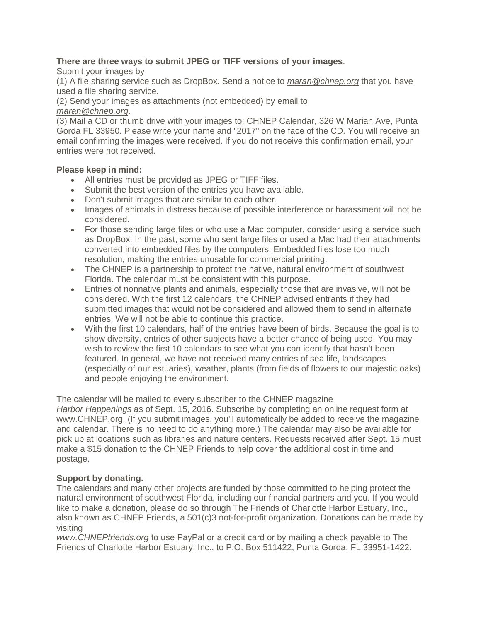# **There are three ways to submit JPEG or TIFF versions of your images**.

Submit your images by

(1) A file sharing service such as DropBox. Send a notice to *[maran@chnep.org](mailto:maran@chnep.org)* that you have used a file sharing service.

(2) Send your images as attachments (not embedded) by email to *[maran@chnep.org](mailto:maran@chnep.org)*.

(3) Mail a CD or thumb drive with your images to: CHNEP Calendar, 326 W Marian Ave, Punta Gorda FL 33950. Please write your name and "2017" on the face of the CD. You will receive an email confirming the images were received. If you do not receive this confirmation email, your entries were not received.

### **Please keep in mind:**

- All entries must be provided as JPEG or TIFF files.
- Submit the best version of the entries you have available.
- Don't submit images that are similar to each other.
- Images of animals in distress because of possible interference or harassment will not be considered.
- For those sending large files or who use a Mac computer, consider using a service such as DropBox. In the past, some who sent large files or used a Mac had their attachments converted into embedded files by the computers. Embedded files lose too much resolution, making the entries unusable for commercial printing.
- The CHNEP is a partnership to protect the native, natural environment of southwest Florida. The calendar must be consistent with this purpose.
- Entries of nonnative plants and animals, especially those that are invasive, will not be considered. With the first 12 calendars, the CHNEP advised entrants if they had submitted images that would not be considered and allowed them to send in alternate entries. We will not be able to continue this practice.
- With the first 10 calendars, half of the entries have been of birds. Because the goal is to show diversity, entries of other subjects have a better chance of being used. You may wish to review the first 10 calendars to see what you can identify that hasn't been featured. In general, we have not received many entries of sea life, landscapes (especially of our estuaries), weather, plants (from fields of flowers to our majestic oaks) and people enjoying the environment.

The calendar will be mailed to every subscriber to the CHNEP magazine *Harbor Happenings* as of Sept. 15, 2016. Subscribe by completing an online request form at [www.CHNEP.org.](http://r20.rs6.net/tn.jsp?f=0019PYqyBEFRmvvj1FrMdGYqfipJbGVK73ixWT5P6s_wwXuWxAd6h4jF_k4P-vfkS_N4hhFEvRBmGRCmLYW8pmqpnDd8QXhedx4xWWg-yVoPxNzLgROWesSA4CipjfYt9Dj5PKxunfvwQ5cg-Y35YqHcZHLk4cWlx2C9YgVevWLeds=&c=EwXvbHCA76BaXM-hgFzga33wCmN3BKnP6uUMFjmcJn2xVPk7BAL9uA==&ch=CDOtU6-IzwJFR5JFHH-NEU_6Iusx1ovPXsAmGYWtIDBjJ2RymWqorg==) (If you submit images, you'll automatically be added to receive the magazine and calendar. There is no need to do anything more.) The calendar may also be available for pick up at locations such as libraries and nature centers. Requests received after Sept. 15 must make a \$15 donation to the CHNEP Friends to help cover the additional cost in time and postage.

# **Support by donating.**

The calendars and many other projects are funded by those committed to helping protect the natural environment of southwest Florida, including our financial partners and you. If you would like to make a donation, please do so through The Friends of Charlotte Harbor Estuary, Inc., also known as CHNEP Friends, a 501(c)3 not-for-profit organization. Donations can be made by visiting

*[www.CHNEPfriends.org](http://r20.rs6.net/tn.jsp?f=0019PYqyBEFRmvvj1FrMdGYqfipJbGVK73ixWT5P6s_wwXuWxAd6h4jF_k4P-vfkS_NdUwDICiDNGbjByXjQurnjwO8GAz-TjymEuh9q3rI27vkggCs47j0-o4EtpTRGP6E-C1waP-UHK0_wcaia3VnnODCD40aBoPpICh1LDbIef8=&c=EwXvbHCA76BaXM-hgFzga33wCmN3BKnP6uUMFjmcJn2xVPk7BAL9uA==&ch=CDOtU6-IzwJFR5JFHH-NEU_6Iusx1ovPXsAmGYWtIDBjJ2RymWqorg==)* to use PayPal or a credit card or by mailing a check payable to The Friends of Charlotte Harbor Estuary, Inc., to P.O. Box 511422, Punta Gorda, FL 33951-1422.